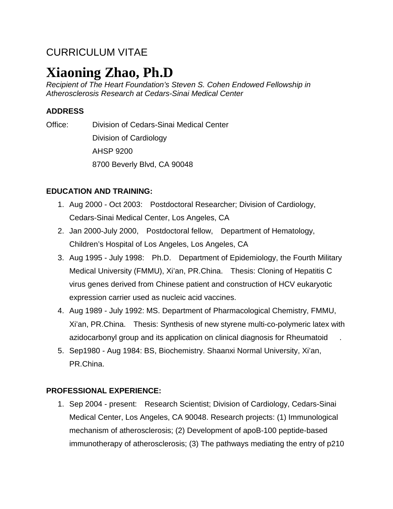# CURRICULUM VITAE

# **Xiaoning Zhao, Ph.D**

*Recipient of The Heart Foundation's Steven S. Cohen Endowed Fellowship in Atherosclerosis Research at Cedars-Sinai Medical Center*

# **ADDRESS**

Office: Division of Cedars-Sinai Medical Center Division of Cardiology AHSP 9200 8700 Beverly Blvd, CA 90048

## **EDUCATION AND TRAINING:**

- 1. Aug 2000 Oct 2003: Postdoctoral Researcher; Division of Cardiology, Cedars-Sinai Medical Center, Los Angeles, CA
- 2. Jan 2000-July 2000, Postdoctoral fellow, Department of Hematology, Children's Hospital of Los Angeles, Los Angeles, CA
- 3. Aug 1995 July 1998: Ph.D. Department of Epidemiology, the Fourth Military Medical University (FMMU), Xi'an, PR.China. Thesis: Cloning of Hepatitis C virus genes derived from Chinese patient and construction of HCV eukaryotic expression carrier used as nucleic acid vaccines.
- 4. Aug 1989 July 1992: MS. Department of Pharmacological Chemistry, FMMU, Xi'an, PR.China. Thesis: Synthesis of new styrene multi-co-polymeric latex with azidocarbonyl group and its application on clinical diagnosis for Rheumatoid .
- 5. Sep1980 Aug 1984: BS, Biochemistry. Shaanxi Normal University, Xi'an, PR.China.

# **PROFESSIONAL EXPERIENCE:**

1. Sep 2004 - present: Research Scientist; Division of Cardiology, Cedars-Sinai Medical Center, Los Angeles, CA 90048. Research projects: (1) Immunological mechanism of atherosclerosis; (2) Development of apoB-100 peptide-based immunotherapy of atherosclerosis; (3) The pathways mediating the entry of p210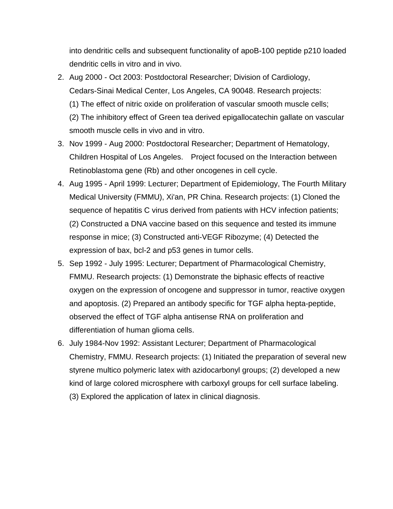into dendritic cells and subsequent functionality of apoB-100 peptide p210 loaded dendritic cells in vitro and in vivo.

- 2. Aug 2000 Oct 2003: Postdoctoral Researcher; Division of Cardiology, Cedars-Sinai Medical Center, Los Angeles, CA 90048. Research projects: (1) The effect of nitric oxide on proliferation of vascular smooth muscle cells; (2) The inhibitory effect of Green tea derived epigallocatechin gallate on vascular smooth muscle cells in vivo and in vitro.
- 3. Nov 1999 Aug 2000: Postdoctoral Researcher; Department of Hematology, Children Hospital of Los Angeles. Project focused on the Interaction between Retinoblastoma gene (Rb) and other oncogenes in cell cycle.
- 4. Aug 1995 April 1999: Lecturer; Department of Epidemiology, The Fourth Military Medical University (FMMU), Xi'an, PR China. Research projects: (1) Cloned the sequence of hepatitis C virus derived from patients with HCV infection patients; (2) Constructed a DNA vaccine based on this sequence and tested its immune response in mice; (3) Constructed anti-VEGF Ribozyme; (4) Detected the expression of bax, bcl-2 and p53 genes in tumor cells.
- 5. Sep 1992 July 1995: Lecturer; Department of Pharmacological Chemistry, FMMU. Research projects: (1) Demonstrate the biphasic effects of reactive oxygen on the expression of oncogene and suppressor in tumor, reactive oxygen and apoptosis. (2) Prepared an antibody specific for TGF alpha hepta-peptide, observed the effect of TGF alpha antisense RNA on proliferation and differentiation of human glioma cells.
- 6. July 1984-Nov 1992: Assistant Lecturer; Department of Pharmacological Chemistry, FMMU. Research projects: (1) Initiated the preparation of several new styrene multico polymeric latex with azidocarbonyl groups; (2) developed a new kind of large colored microsphere with carboxyl groups for cell surface labeling. (3) Explored the application of latex in clinical diagnosis.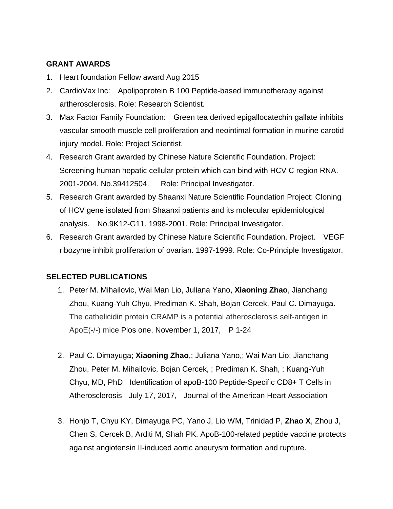### **GRANT AWARDS**

- 1. Heart foundation Fellow award Aug 2015
- 2. CardioVax Inc: Apolipoprotein B 100 Peptide-based immunotherapy against artherosclerosis. Role: Research Scientist.
- 3. Max Factor Family Foundation: Green tea derived epigallocatechin gallate inhibits vascular smooth muscle cell proliferation and neointimal formation in murine carotid injury model. Role: Project Scientist.
- 4. Research Grant awarded by Chinese Nature Scientific Foundation. Project: Screening human hepatic cellular protein which can bind with HCV C region RNA. 2001-2004. No.39412504. Role: Principal Investigator.
- 5. Research Grant awarded by Shaanxi Nature Scientific Foundation Project: Cloning of HCV gene isolated from Shaanxi patients and its molecular epidemiological analysis. No.9K12-G11. 1998-2001. Role: Principal Investigator.
- 6. Research Grant awarded by Chinese Nature Scientific Foundation. Project. VEGF ribozyme inhibit proliferation of ovarian. 1997-1999. Role: Co-Principle Investigator.

### **SELECTED PUBLICATIONS**

- 1. Peter M. Mihailovic, Wai Man Lio, Juliana Yano, **Xiaoning Zhao**, Jianchang Zhou, Kuang-Yuh Chyu, Prediman K. Shah, Bojan Cercek, Paul C. Dimayuga. The cathelicidin protein CRAMP is a potential atherosclerosis self-antigen in ApoE(-/-) mice Plos one, November 1, 2017, P 1-24
- 2. Paul C. Dimayuga; **Xiaoning Zhao**,; Juliana Yano,; Wai Man Lio; Jianchang Zhou, Peter M. Mihailovic, Bojan Cercek, ; Prediman K. Shah, ; Kuang-Yuh Chyu, MD, PhD Identification of apoB-100 Peptide-Specific CD8+ T Cells in Atherosclerosis July 17, 2017, Journal of the American Heart Association
- 3. Honjo T, Chyu KY, Dimayuga PC, Yano J, Lio WM, Trinidad P, **Zhao X**, Zhou J, Chen S, Cercek B, Arditi M, Shah PK. [ApoB-100-related peptide vaccine protects](http://www.ncbi.nlm.nih.gov/pubmed/25677313)  [against angiotensin II-induced aortic aneurysm formation and rupture.](http://www.ncbi.nlm.nih.gov/pubmed/25677313)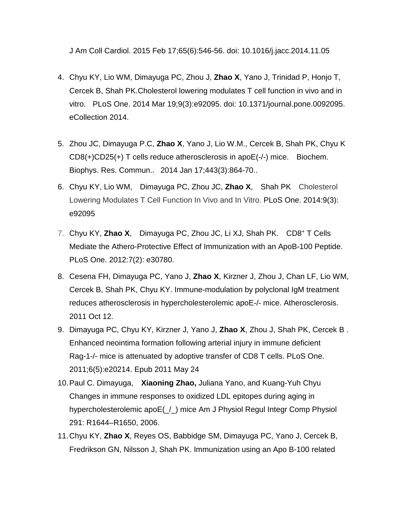J Am Coll Cardiol. 2015 Feb 17;65(6):546-56. doi: 10.1016/j.jacc.2014.11.05

- 4. Chyu KY, Lio WM, Dimayuga PC, Zhou J, **Zhao X**, Yano J, Trinidad P, Honjo T, Cercek B, Shah PK.Cholesterol lowering [modulates T cell function in vivo and in](http://www.ncbi.nlm.nih.gov/pubmed/24647529)  [vitro.](http://www.ncbi.nlm.nih.gov/pubmed/24647529) PLoS One. 2014 Mar 19;9(3):e92095. doi: 10.1371/journal.pone.0092095. eCollection 2014.
- 5. Zhou JC, Dimayuga P.C, **Zhao X**, Yano J, Lio W.M., Cercek B, Shah PK, Chyu K [CD8\(+\)CD25\(+\) T cells reduce atherosclerosis in apoE\(-/-\) mice.](https://www.ncbi.nlm.nih.gov/pubmed/24342615) Biochem. Biophys. Res. Commun.. 2014 Jan 17;443(3):864-70..
- 6. Chyu KY, Lio WM, Dimayuga PC, Zhou JC, **Zhao X**, Shah PK Cholesterol Lowering Modulates T Cell Function In Vivo and In Vitro. PLoS One. 2014:9(3): e92095
- 7. Chyu KY, **Zhao X**, Dimayuga PC, Zhou JC, Li XJ, Shah PK. CD8+ T Cells Mediate the Athero-Protective Effect of Immunization with an ApoB-100 Peptide. PLoS One. 2012:7(2): e30780.
- 8. Cesena FH, Dimayuga PC, Yano J, **Zhao X**, Kirzner J, Zhou J, Chan LF, Lio WM, Cercek B, Shah PK, Chyu KY. [Immune-modulation by polyclonal IgM treatment](http://www.ncbi.nlm.nih.gov/pubmed/22062590)  [reduces atherosclerosis in hypercholesterolemic apoE-/-](http://www.ncbi.nlm.nih.gov/pubmed/22062590) mice. Atherosclerosis. 2011 Oct 12.
- 9. Dimayuga PC, Chyu KY, Kirzner J, Yano J, **Zhao X**, Zhou J, Shah PK, Cercek B . [Enhanced neointima formation following arterial injury in immune deficient](http://www.ncbi.nlm.nih.gov/pubmed/21629656)  Rag-1-/- [mice is attenuated by adoptive transfer of CD8 T cells.](http://www.ncbi.nlm.nih.gov/pubmed/21629656) PLoS One. 2011;6(5):e20214. Epub 2011 May 24
- 10.Paul C. Dimayuga, **Xiaoning Zhao,** Juliana Yano, and Kuang-Yuh Chyu Changes in immune responses to oxidized LDL epitopes during aging in hypercholesterolemic apoE(\_/\_) mice Am J Physiol Regul Integr Comp Physiol 291: R1644–R1650, 2006.
- 11.Chyu KY, **Zhao X**, Reyes OS, Babbidge SM, Dimayuga PC, Yano J, Cercek B, Fredrikson GN, Nilsson J, Shah PK. Immunization using an Apo B-100 related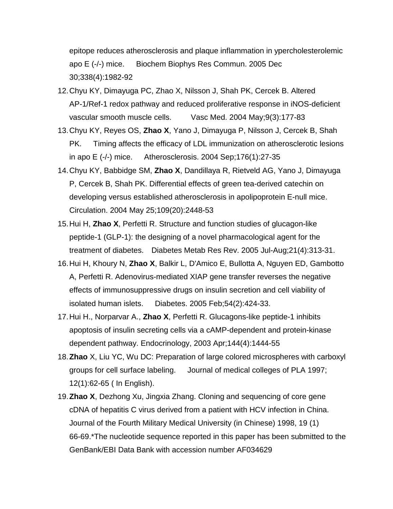epitope reduces atherosclerosis and plaque inflammation in ypercholesterolemic apo E (-/-) mice. Biochem Biophys Res Commun. 2005 Dec 30;338(4):1982-92

- 12.Chyu KY, Dimayuga PC, Zhao X, Nilsson J, Shah PK, Cercek B. Altered AP-1/Ref-1 redox pathway and reduced proliferative response in iNOS-deficient vascular smooth muscle cells. Vasc Med. 2004 May;9(3):177-83
- 13.Chyu KY, Reyes OS, **Zhao X**, Yano J, Dimayuga P, Nilsson J, Cercek B, Shah PK. Timing affects the efficacy of LDL immunization on atherosclerotic lesions in apo E (-/-) mice. Atherosclerosis. 2004 Sep;176(1):27-35
- 14.Chyu KY, Babbidge SM, **Zhao X**, Dandillaya R, Rietveld AG, Yano J, Dimayuga P, Cercek B, Shah PK. Differential effects of green tea-derived catechin on developing versus established atherosclerosis in apolipoprotein E-null mice. Circulation. 2004 May 25;109(20):2448-53
- 15.Hui H, **Zhao X**, Perfetti R. Structure and function studies of glucagon-like peptide-1 (GLP-1): the designing of a novel pharmacological agent for the treatment of diabetes. Diabetes Metab Res Rev. 2005 Jul-Aug;21(4):313-31.
- 16.Hui H, Khoury N, **Zhao X**, Balkir L, D'Amico E, Bullotta A, Nguyen ED, Gambotto A, Perfetti R. Adenovirus-mediated XIAP gene transfer reverses the negative effects of immunosuppressive drugs on insulin secretion and cell viability of isolated human islets. Diabetes. 2005 Feb;54(2):424-33.
- 17.Hui H., Norparvar A., **Zhao X**, Perfetti R. Glucagons-like peptide-1 inhibits apoptosis of insulin secreting cells via a cAMP-dependent and protein-kinase dependent pathway. Endocrinology, 2003 Apr;144(4):1444-55
- 18.**Zhao** X, Liu YC, Wu DC: Preparation of large colored microspheres with carboxyl groups for cell surface labeling. Journal of medical colleges of PLA 1997; 12(1):62-65 ( In English).
- 19.**Zhao X**, Dezhong Xu, Jingxia Zhang. Cloning and sequencing of core gene cDNA of hepatitis C virus derived from a patient with HCV infection in China. Journal of the Fourth Military Medical University (in Chinese) 1998, 19 (1) 66-69.\*The nucleotide sequence reported in this paper has been submitted to the GenBank/EBI Data Bank with accession number AF034629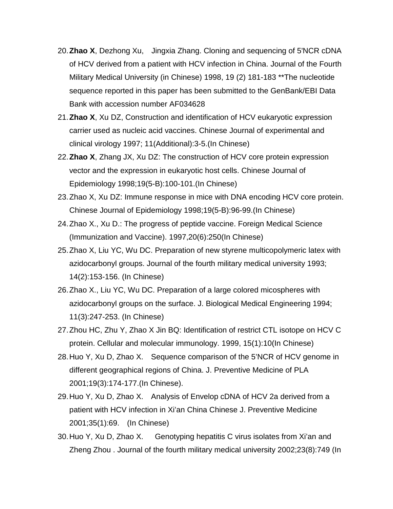- 20.**Zhao X**, Dezhong Xu, Jingxia Zhang. Cloning and sequencing of 5'NCR cDNA of HCV derived from a patient with HCV infection in China. Journal of the Fourth Military Medical University (in Chinese) 1998, 19 (2) 181-183 \*\*The nucleotide sequence reported in this paper has been submitted to the GenBank/EBI Data Bank with accession number AF034628
- 21.**Zhao X**, Xu DZ, Construction and identification of HCV eukaryotic expression carrier used as nucleic acid vaccines. Chinese Journal of experimental and clinical virology 1997; 11(Additional):3-5.(In Chinese)
- 22.**Zhao X**, Zhang JX, Xu DZ: The construction of HCV core protein expression vector and the expression in eukaryotic host cells. Chinese Journal of Epidemiology 1998;19(5-B):100-101.(In Chinese)
- 23.Zhao X, Xu DZ: Immune response in mice with DNA encoding HCV core protein. Chinese Journal of Epidemiology 1998;19(5-B):96-99.(In Chinese)
- 24.Zhao X., Xu D.: The progress of peptide vaccine. Foreign Medical Science (Immunization and Vaccine). 1997,20(6):250(In Chinese)
- 25.Zhao X, Liu YC, Wu DC. Preparation of new styrene multicopolymeric latex with azidocarbonyl groups. Journal of the fourth military medical university 1993; 14(2):153-156. (In Chinese)
- 26.Zhao X., Liu YC, Wu DC. Preparation of a large colored micospheres with azidocarbonyl groups on the surface. J. Biological Medical Engineering 1994; 11(3):247-253. (In Chinese)
- 27.Zhou HC, Zhu Y, Zhao X Jin BQ: Identification of restrict CTL isotope on HCV C protein. Cellular and molecular immunology. 1999, 15(1):10(In Chinese)
- 28.Huo Y, Xu D, Zhao X. Sequence comparison of the 5'NCR of HCV genome in different geographical regions of China. J. Preventive Medicine of PLA 2001;19(3):174-177.(In Chinese).
- 29.Huo Y, Xu D, Zhao X. Analysis of Envelop cDNA of HCV 2a derived from a patient with HCV infection in Xi'an China Chinese J. Preventive Medicine 2001;35(1):69. (In Chinese)
- 30.Huo Y, Xu D, Zhao X. Genotyping hepatitis C virus isolates from Xi'an and Zheng Zhou . Journal of the fourth military medical university 2002;23(8):749 (In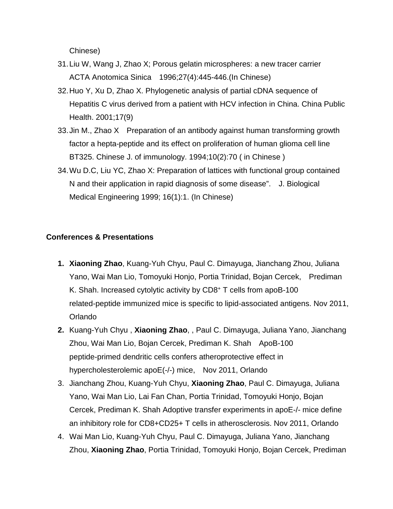Chinese)

- 31.Liu W, Wang J, Zhao X; Porous gelatin microspheres: a new tracer carrier ACTA Anotomica Sinica 1996;27(4):445-446.(In Chinese)
- 32.Huo Y, Xu D, Zhao X. Phylogenetic analysis of partial cDNA sequence of Hepatitis C virus derived from a patient with HCV infection in China. China Public Health. 2001;17(9)
- 33.Jin M., Zhao X Preparation of an antibody against human transforming growth factor a hepta-peptide and its effect on proliferation of human glioma cell line BT325. Chinese J. of immunology. 1994;10(2):70 ( in Chinese )
- 34.Wu D.C, Liu YC, Zhao X: Preparation of lattices with functional group contained N and their application in rapid diagnosis of some disease". J. Biological Medical Engineering 1999; 16(1):1. (In Chinese)

#### **Conferences & Presentations**

- **1. Xiaoning Zhao**, Kuang-Yuh Chyu, Paul C. Dimayuga, Jianchang Zhou, Juliana Yano, Wai Man Lio, Tomoyuki Honjo, Portia Trinidad, Bojan Cercek, Prediman K. Shah. Increased cytolytic activity by CD8+ T cells from apoB-100 related-peptide immunized mice is specific to lipid-associated antigens. Nov 2011, Orlando
- **2.** Kuang-Yuh Chyu , **Xiaoning Zhao**, , Paul C. Dimayuga, Juliana Yano, Jianchang Zhou, Wai Man Lio, Bojan Cercek, Prediman K. Shah ApoB-100 peptide-primed dendritic cells confers atheroprotective effect in hypercholesterolemic apoE(-/-) mice, Nov 2011, Orlando
- 3. Jianchang Zhou, Kuang-Yuh Chyu, **Xiaoning Zhao**, Paul C. Dimayuga, Juliana Yano, Wai Man Lio, Lai Fan Chan, Portia Trinidad, Tomoyuki Honjo, Bojan Cercek, Prediman K. Shah Adoptive transfer experiments in apoE-/- mice define an inhibitory role for CD8+CD25+ T cells in atherosclerosis. Nov 2011, Orlando
- 4. Wai Man Lio, Kuang-Yuh Chyu, Paul C. Dimayuga, Juliana Yano, Jianchang Zhou, **Xiaoning Zhao**, Portia Trinidad, Tomoyuki Honjo, Bojan Cercek, Prediman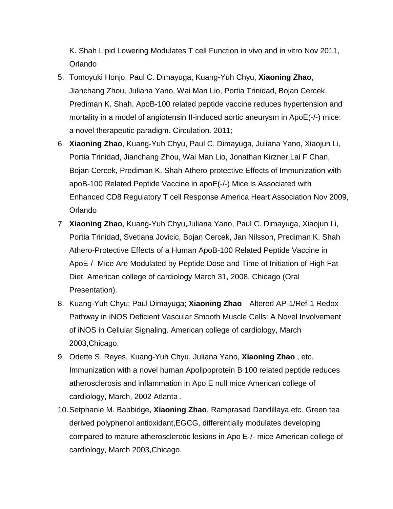K. Shah Lipid Lowering Modulates T cell Function in vivo and in vitro Nov 2011, Orlando

- 5. Tomoyuki Honjo, Paul C. Dimayuga, Kuang-Yuh Chyu, **Xiaoning Zhao**, Jianchang Zhou, Juliana Yano, Wai Man Lio, Portia Trinidad, Bojan Cercek, Prediman K. Shah. ApoB-100 related peptide vaccine reduces hypertension and mortality in a model of angiotensin II-induced aortic aneurysm in ApoE(-/-) mice: a novel therapeutic paradigm. Circulation. 2011;
- 6. **Xiaoning Zhao**, Kuang-Yuh Chyu, Paul C. Dimayuga, Juliana Yano, Xiaojun Li, Portia Trinidad, Jianchang Zhou, Wai Man Lio, Jonathan Kirzner,Lai F Chan, Bojan Cercek, Prediman K. Shah Athero-protective Effects of Immunization with apoB-100 Related Peptide Vaccine in apoE(-/-) Mice is Associated with Enhanced CD8 Regulatory T cell Response America Heart Association Nov 2009, Orlando
- 7. **Xiaoning Zhao**, Kuang-Yuh Chyu,Juliana Yano, Paul C. Dimayuga, Xiaojun Li, Portia Trinidad, Svetlana Jovicic, Bojan Cercek, Jan Nilsson, Prediman K. Shah Athero-Protective Effects of a Human ApoB-100 Related Peptide Vaccine in ApoE-/- Mice Are Modulated by Peptide Dose and Time of Initiation of High Fat Diet. American college of cardiology March 31, 2008, Chicago (Oral Presentation).
- 8. Kuang-Yuh Chyu; Paul Dimayuga; **Xiaoning Zhao** Altered AP-1/Ref-1 Redox Pathway in iNOS Deficient Vascular Smooth Muscle Cells: A Novel Involvement of iNOS in Cellular Signaling. American college of cardiology, March 2003,Chicago.
- 9. Odette S. Reyes, Kuang-Yuh Chyu, Juliana Yano, **Xiaoning Zhao** , etc. Immunization with a novel human Apolipoprotein B 100 related peptide reduces atherosclerosis and inflammation in Apo E null mice American college of cardiology, March, 2002 Atlanta .
- 10.Setphanie M. Babbidge, **Xiaoning Zhao**, Ramprasad Dandillaya,etc. Green tea derived polyphenol antioxidant,EGCG, differentially modulates developing compared to mature atherosclerotic lesions in Apo E-/- mice American college of cardiology, March 2003,Chicago.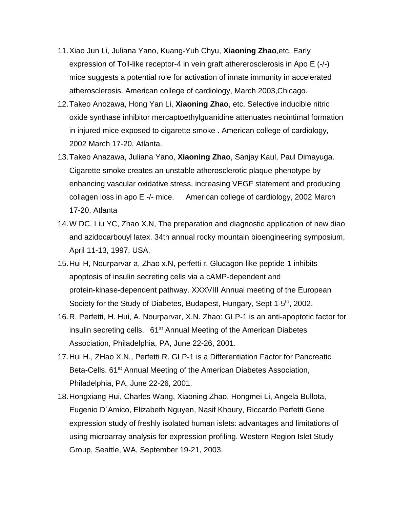- 11.Xiao Jun Li, Juliana Yano, Kuang-Yuh Chyu, **Xiaoning Zhao**,etc. Early expression of Toll-like receptor-4 in vein graft athererosclerosis in Apo E (-/-) mice suggests a potential role for activation of innate immunity in accelerated atherosclerosis. American college of cardiology, March 2003,Chicago.
- 12.Takeo Anozawa, Hong Yan Li, **Xiaoning Zhao**, etc. Selective inducible nitric oxide synthase inhibitor mercaptoethylguanidine attenuates neointimal formation in injured mice exposed to cigarette smoke . American college of cardiology, 2002 March 17-20, Atlanta.
- 13.Takeo Anazawa, Juliana Yano, **Xiaoning Zhao**, Sanjay Kaul, Paul Dimayuga. Cigarette smoke creates an unstable atherosclerotic plaque phenotype by enhancing vascular oxidative stress, increasing VEGF statement and producing collagen loss in apo E -/- mice. American college of cardiology, 2002 March 17-20, Atlanta
- 14.W DC, Liu YC, Zhao X.N, The preparation and diagnostic application of new diao and azidocarbouyl latex. 34th annual rocky mountain bioengineering symposium, April 11-13, 1997, USA.
- 15.Hui H, Nourparvar a, Zhao x.N, perfetti r. Glucagon-like peptide-1 inhibits apoptosis of insulin secreting cells via a cAMP-dependent and protein-kinase-dependent pathway. XXXVIII Annual meeting of the European Society for the Study of Diabetes, Budapest, Hungary, Sept 1-5<sup>th</sup>, 2002.
- 16.R. Perfetti, H. Hui, A. Nourparvar, X.N. Zhao: GLP-1 is an anti-apoptotic factor for insulin secreting cells. 61<sup>at</sup> Annual Meeting of the American Diabetes Association, Philadelphia, PA, June 22-26, 2001.
- 17.Hui H., ZHao X.N., Perfetti R. GLP-1 is a Differentiation Factor for Pancreatic Beta-Cells. 61<sup>at</sup> Annual Meeting of the American Diabetes Association, Philadelphia, PA, June 22-26, 2001.
- 18.Hongxiang Hui, Charles Wang, Xiaoning Zhao, Hongmei Li, Angela Bullota, Eugenio D`Amico, Elizabeth Nguyen, Nasif Khoury, Riccardo Perfetti Gene expression study of freshly isolated human islets: advantages and limitations of using microarray analysis for expression profiling. Western Region Islet Study Group, Seattle, WA, September 19-21, 2003.